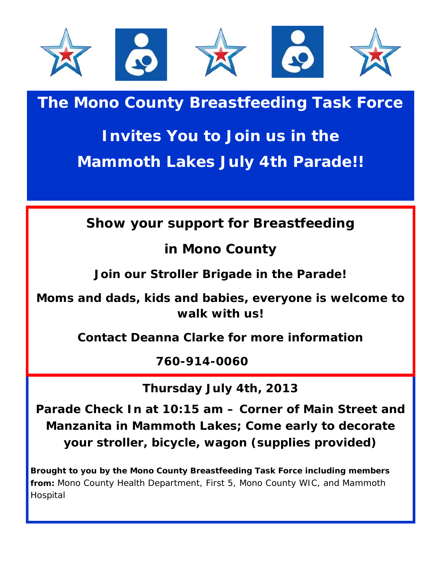

## **The Mono County Breastfeeding Task Force**

## **Invites You to Join us in the Mammoth Lakes July 4th Parade!!**

**Show your support for Breastfeeding**

**in Mono County**

**Join our Stroller Brigade in the Parade!** 

**Moms and dads, kids and babies, everyone is welcome to walk with us!**

**Contact Deanna Clarke for more information**

**760-914-0060.7760**

**Thursday July 4th, 2013**

**Parade Check In at 10:15 am – Corner of Main Street and Manzanita in Mammoth Lakes; Come early to decorate your stroller, bicycle, wagon (supplies provided)**

**Brought to you by the Mono County Breastfeeding Task Force including members from:** Mono County Health Department, First 5, Mono County WIC, and Mammoth Hospital